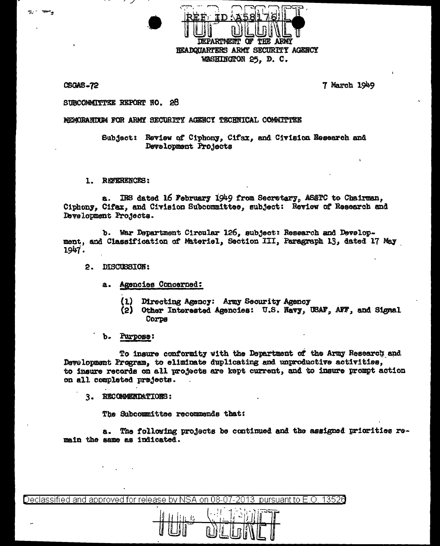**JEPARTMENT OF** BEADQUARTERS ARMY SECURITY AGENCY WASHINGTON 25, D. C.

CSOAS-72

7 March 1949

## SUBCOMMITTEE REPORT NO. 28

## MEMORANDUM FOR ARMY SECURITY AGENCY TECHNICAL COMMUTTEE

Subject: Review of Ciphony, Cifax, and Civision Research and Development Projects

1. REFERENCES:

IRS dated 16 February 1949 from Secretary, ASATC to Chairman, 8. Ciphony. Cifax, and Civision Subcommittee, subject: Review of Research and Development Projects.

b. War Department Circular 126, subject: Research and Development, and Classification of Materiel, Section III, Paragraph 13, dated 17 May 1947.

- 2. DISCUSSION:
	- a. Agencies Concerned:
		- Directing Agency: Army Security Agency  $(1)$
		- (2) Other Interested Agencies: U.S. Navy, USAF, AFF, and Signal Corps
	- Purpose:

To insure conformity with the Department of the Army Research and Development Program, to eliminate duplicating and unproductive activities, to insure records on all projects are kept current, and to insure prompt action on all completed projects.

3. RECOMMENDATIONS:

The Subcommittee recommends that:

a. The following projects be continued and the assigned priorities remain the same as indicated.

Declassified and approved for release by NSA on 08-07-2013 pursuant to E.O. 13526